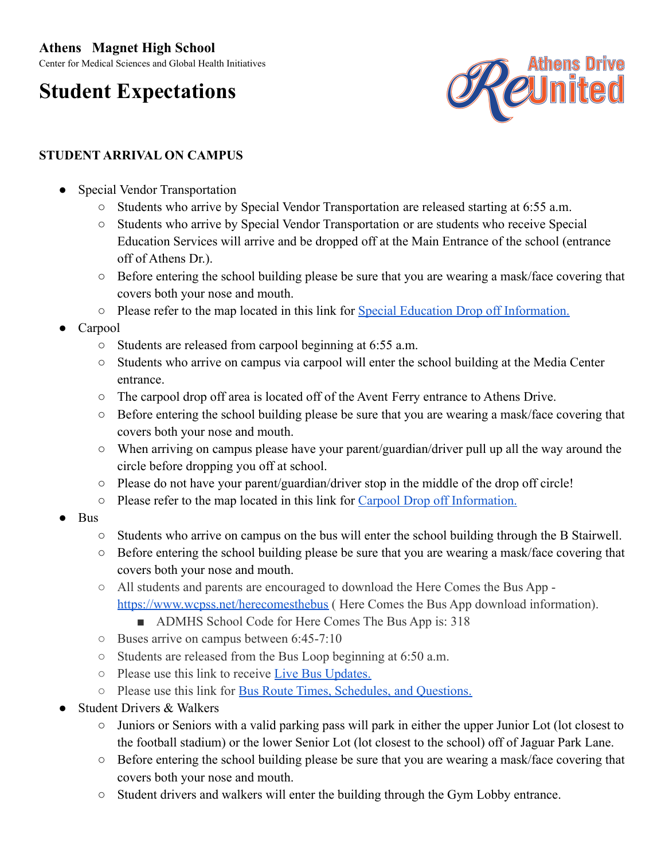# **Athens Magnet High School**

Center for Medical Sciences and Global Health Initiatives

# **Student Expectations**



# **STUDENT ARRIVAL ON CAMPUS**

- **Special Vendor Transportation** 
	- Students who arrive by Special Vendor Transportation are released starting at 6:55 a.m.
	- Students who arrive by Special Vendor Transportation or are students who receive Special Education Services will arrive and be dropped off at the Main Entrance of the school (entrance off of Athens Dr.).
	- Before entering the school building please be sure that you are wearing a mask/face covering that covers both your nose and mouth.
	- Please refer to the map located in this link for Special [Education Drop off Information.](https://www.wcpss.net/Page/36392)
- **Carpool** 
	- Students are released from carpool beginning at 6:55 a.m.
	- Students who arrive on campus via carpool will enter the school building at the Media Center entrance.
	- The carpool drop off area is located off of the Avent Ferry entrance to Athens Drive.
	- Before entering the school building please be sure that you are wearing a mask/face covering that covers both your nose and mouth.
	- When arriving on campus please have your parent/guardian/driver pull up all the way around the circle before dropping you off at school.
	- Please do not have your parent/guardian/driver stop in the middle of the drop off circle!
	- Please refer to the map located in this link for Carpool [Drop off Information.](https://www.wcpss.net/Page/36392)
- Bus
	- Students who arrive on campus on the bus will enter the school building through the B Stairwell.
	- Before entering the school building please be sure that you are wearing a mask/face covering that covers both your nose and mouth.
	- All students and parents are encouraged to download the Here Comes the Bus App <https://www.wcpss.net/herecomesthebus> (Here Comes the Bus App download information).
		- ADMHS School Code for Here Comes The Bus App is: 318
	- Buses arrive on campus between 6:45-7:10
	- Students are released from the Bus Loop beginning at 6:50 a.m.
	- Please use this link to receive [Live Bus Updates.](https://www.wcpss.net/Page/14626)
	- Please use this link for [Bus Route Times, Schedules,](https://www.wcpss.net/Page/14625) and Questions.
- Student Drivers & Walkers
	- Juniors or Seniors with a valid parking pass will park in either the upper Junior Lot (lot closest to the football stadium) or the lower Senior Lot (lot closest to the school) off of Jaguar Park Lane.
	- Before entering the school building please be sure that you are wearing a mask/face covering that covers both your nose and mouth.
	- Student drivers and walkers will enter the building through the Gym Lobby entrance.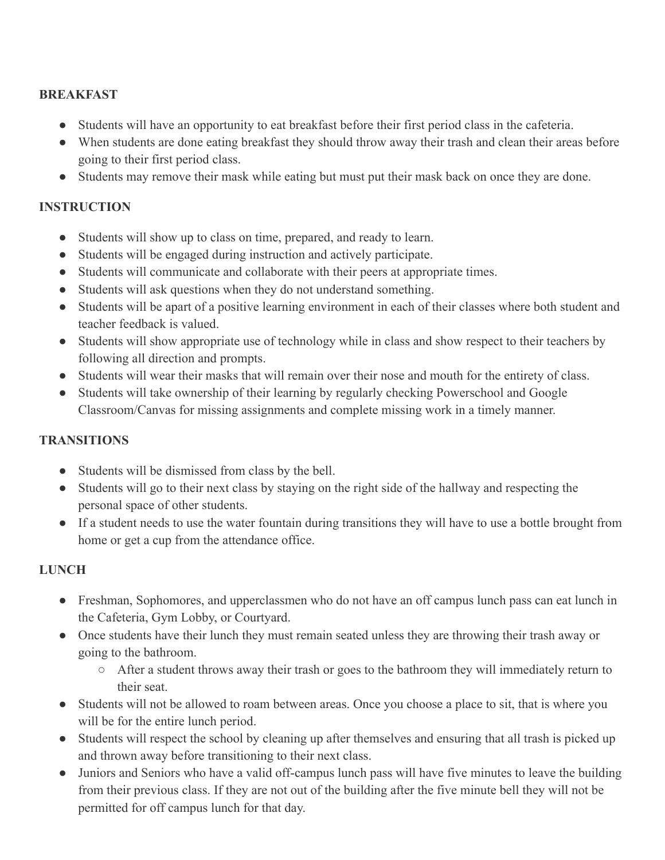## **BREAKFAST**

- Students will have an opportunity to eat breakfast before their first period class in the cafeteria.
- When students are done eating breakfast they should throw away their trash and clean their areas before going to their first period class.
- Students may remove their mask while eating but must put their mask back on once they are done.

#### **INSTRUCTION**

- Students will show up to class on time, prepared, and ready to learn.
- Students will be engaged during instruction and actively participate.
- Students will communicate and collaborate with their peers at appropriate times.
- Students will ask questions when they do not understand something.
- Students will be apart of a positive learning environment in each of their classes where both student and teacher feedback is valued.
- Students will show appropriate use of technology while in class and show respect to their teachers by following all direction and prompts.
- Students will wear their masks that will remain over their nose and mouth for the entirety of class.
- Students will take ownership of their learning by regularly checking Powerschool and Google Classroom/Canvas for missing assignments and complete missing work in a timely manner.

#### **TRANSITIONS**

- Students will be dismissed from class by the bell.
- Students will go to their next class by staying on the right side of the hallway and respecting the personal space of other students.
- If a student needs to use the water fountain during transitions they will have to use a bottle brought from home or get a cup from the attendance office.

## **LUNCH**

- Freshman, Sophomores, and upperclassmen who do not have an off campus lunch pass can eat lunch in the Cafeteria, Gym Lobby, or Courtyard.
- Once students have their lunch they must remain seated unless they are throwing their trash away or going to the bathroom.
	- After a student throws away their trash or goes to the bathroom they will immediately return to their seat.
- Students will not be allowed to roam between areas. Once you choose a place to sit, that is where you will be for the entire lunch period.
- Students will respect the school by cleaning up after themselves and ensuring that all trash is picked up and thrown away before transitioning to their next class.
- Juniors and Seniors who have a valid off-campus lunch pass will have five minutes to leave the building from their previous class. If they are not out of the building after the five minute bell they will not be permitted for off campus lunch for that day.